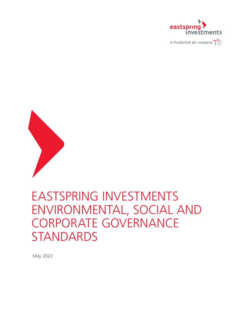



# EASTSPRING INVESTMENTS ENVIRONMENTAL, SOCIAL AND CORPORATE GOVERNANCE **STANDARDS**

May 2022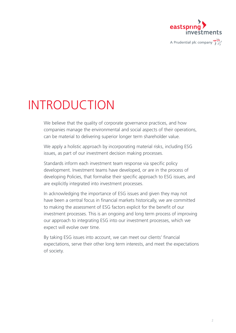

# INTRODUCTION

We believe that the quality of corporate governance practices, and how companies manage the environmental and social aspects of their operations, can be material to delivering superior longer term shareholder value.

We apply a holistic approach by incorporating material risks, including ESG issues, as part of our investment decision making processes.

Standards inform each investment team response via specific policy development. Investment teams have developed, or are in the process of developing Policies, that formalise their specific approach to ESG issues, and are explicitly integrated into investment processes.

In acknowledging the importance of ESG issues and given they may not have been a central focus in financial markets historically, we are committed to making the assessment of ESG factors explicit for the benefit of our investment processes. This is an ongoing and long term process of improving our approach to integrating ESG into our investment processes, which we expect will evolve over time.

By taking ESG issues into account, we can meet our clients' financial expectations, serve their other long term interests, and meet the expectations of society.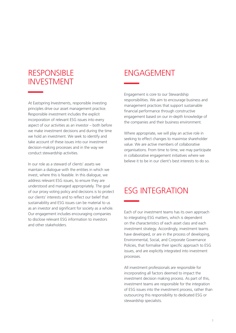### **RESPONSIBLE** INVESTMENT

**------------**

At Eastspring Investments, responsible investing principles drive our asset management practice. Responsible investment includes the explicit incorporation of relevant ESG issues into every aspect of our activities as an investor – both before we make investment decisions and during the time we hold an investment. We seek to identify and take account of these issues into our investment decision-making processes and in the way we conduct stewardship activities.

In our role as a steward of clients' assets we maintain a dialogue with the entities in which we invest, where this is feasible. In this dialogue, we address relevant ESG issues, to ensure they are understood and managed appropriately. The goal of our proxy voting policy and decisions is to protect our clients' interests and to reflect our belief that sustainability and ESG issues can be material to us as an investor and significant for society as a whole. Our engagement includes encouraging companies to disclose relevant ESG information to investors and other stakeholders.

#### **ENGAGEMENT**

**------------**

**------------**

Engagement is core to our Stewardship responsibilities. We aim to encourage business and management practices that support sustainable financial performance through constructive engagement based on our in-depth knowledge of the companies and their business environment.

Where appropriate, we will play an active role in seeking to effect changes to maximise shareholder value. We are active members of collaborative organisations. From time to time, we may participate in collaborative engagement initiatives where we believe it to be in our client's best interests to do so.

### ESG INTEGRATION

Each of our investment teams has its own approach to integrating ESG matters, which is dependent on the characteristics of each asset class and each investment strategy. Accordingly, investment teams have developed, or are in the process of developing, Environmental, Social, and Corporate Governance Policies, that formalise their specific approach to ESG issues, and are explicitly integrated into investment processes.

All investment professionals are responsible for incorporating all factors deemed to impact the investment decision making process. As part of this, investment teams are responsible for the integration of ESG issues into the investment process, rather than outsourcing this responsibility to dedicated ESG or stewardship specialists.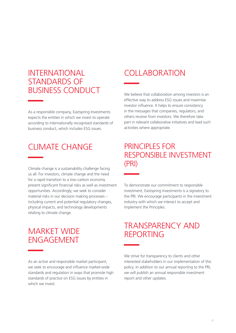#### INTERNATIONAL STANDARDS OF BUSINESS CONDUCT

**------------**

**------------**

**------------**

As a responsible company, Eastspring Investments expects the entities in which we invest to operate according to internationally recognised standards of business conduct, which includes ESG issues.

# CLIMATE CHANGE

Climate change is a sustainability challenge facing us all. For investors, climate change and the need for a rapid transition to a low-carbon economy present significant financial risks as well as investment opportunities. Accordingly, we seek to consider material risks in our decision making processes – including current and potential regulatory changes, physical impacts, and technology developments relating to climate change.

#### MARKET WIDE ENGAGEMENT

As an active and responsible market participant, we seek to encourage and influence market-wide standards and regulation in ways that promote high standards of practice on ESG issues by entities in which we invest.

# COLLABORATION

**------------**

**------------**

**------------**

We believe that collaboration among investors is an effective way to address ESG issues and maximise investor influence. It helps to ensure consistency in the messages that companies, regulators, and others receive from investors. We therefore take part in relevant collaborative initiatives and lead such activities where appropriate.

#### PRINCIPI FS FOR RESPONSIBLE INVESTMENT (PRI)

To demonstrate our commitment to responsible investment, Eastspring Investments is a signatory to the PRI. We encourage participants in the investment industry with which we interact to accept and implement the Principles.

#### TRANSPARENCY AND REPORTING

We strive for transparency to clients and other interested stakeholders in our implementation of this policy. In addition to our annual reporting to the PRI, we will publish an annual responsible investment report and other updates.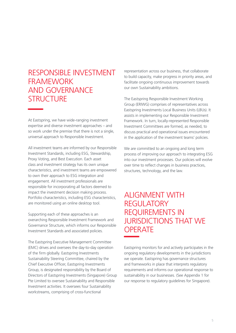#### RESPONSIBLE INVESTMENT FRAMEWORK AND GOVERNANCE **STRUCTURE**

At Eastspring, we have wide-ranging investment expertise and diverse investment approaches – and so work under the premise that there is not a single, universal approach to Responsible Investment.

**------------**

All investment teams are informed by our Responsible Investment Standards, including ESG, Stewardship, Proxy Voting, and Best Execution. Each asset class and investment strategy has its own unique characteristics, and investment teams are empowered to own their approach to ESG integration and engagement. All investment professionals are responsible for incorporating all factors deemed to impact the investment decision making process. Portfolio characteristics, including ESG characteristics, are monitored using an online desktop tool.

Supporting each of these approaches is an overarching Responsible Investment Framework and Governance Structure, which informs our Responsible Investment Standards and associated policies.

The Eastspring Executive Management Committee (EMC) drives and oversees the day-to-day operation of the firm globally. Eastspring Investments Sustainability Steering Committee, chaired by the Chief Executive Officer, Eastspring Investments Group, is designated responsibility by the Board of Directors of Eastspring Investments (Singapore) Group Pte Limited to oversee Sustainability and Responsible Investment activities. It oversees four Sustainability workstreams, comprising of cross-functional

representation across our business, that collaborate to build capacity, make progress in priority areas, and facilitate ongoing continuous improvement towards our own Sustainability ambitions.

The Eastspring Responsible Investment Working Group (ERIWG) comprises of representatives across Eastspring Investments Local Business Units (LBUs). It assists in implementing our Responsible Investment Framework. In turn, locally-represented Responsible Investment Committees are formed, as needed, to discuss practical and operational issues encountered in the application of the investment teams' policies.

We are committed to an ongoing and long term process of improving our approach to integrating ESG into our investment processes. Our policies will evolve over time to reflect changes in business practices, structures, technology, and the law.

#### ALIGNMENT WITH **REGULATORY** REQUIREMENTS IN JURISDICTIONS THAT WE **OPERATE ------------**

Eastspring monitors for and actively participates in the ongoing regulatory developments in the jurisdictions we operate. Eastspring has governance structures and frameworks in place that interprets regulatory requirements and informs our operational response to sustainability in our businesses. (See Appendix 1 for our response to regulatory guidelines for Singapore).